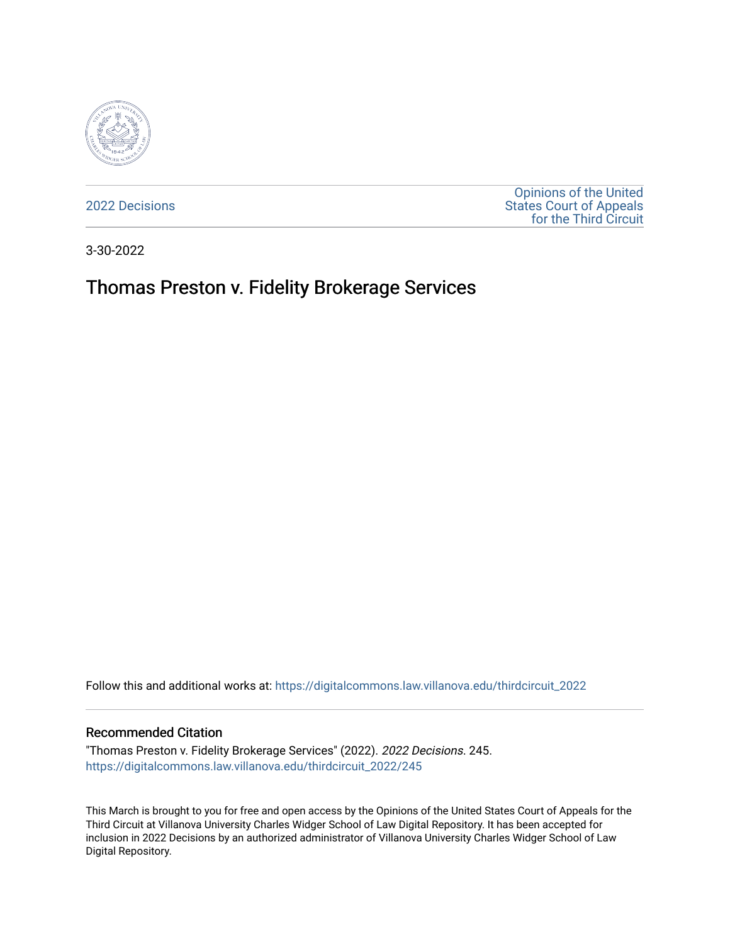

[2022 Decisions](https://digitalcommons.law.villanova.edu/thirdcircuit_2022)

[Opinions of the United](https://digitalcommons.law.villanova.edu/thirdcircuit)  [States Court of Appeals](https://digitalcommons.law.villanova.edu/thirdcircuit)  [for the Third Circuit](https://digitalcommons.law.villanova.edu/thirdcircuit) 

3-30-2022

# Thomas Preston v. Fidelity Brokerage Services

Follow this and additional works at: [https://digitalcommons.law.villanova.edu/thirdcircuit\\_2022](https://digitalcommons.law.villanova.edu/thirdcircuit_2022?utm_source=digitalcommons.law.villanova.edu%2Fthirdcircuit_2022%2F245&utm_medium=PDF&utm_campaign=PDFCoverPages) 

#### Recommended Citation

"Thomas Preston v. Fidelity Brokerage Services" (2022). 2022 Decisions. 245. [https://digitalcommons.law.villanova.edu/thirdcircuit\\_2022/245](https://digitalcommons.law.villanova.edu/thirdcircuit_2022/245?utm_source=digitalcommons.law.villanova.edu%2Fthirdcircuit_2022%2F245&utm_medium=PDF&utm_campaign=PDFCoverPages)

This March is brought to you for free and open access by the Opinions of the United States Court of Appeals for the Third Circuit at Villanova University Charles Widger School of Law Digital Repository. It has been accepted for inclusion in 2022 Decisions by an authorized administrator of Villanova University Charles Widger School of Law Digital Repository.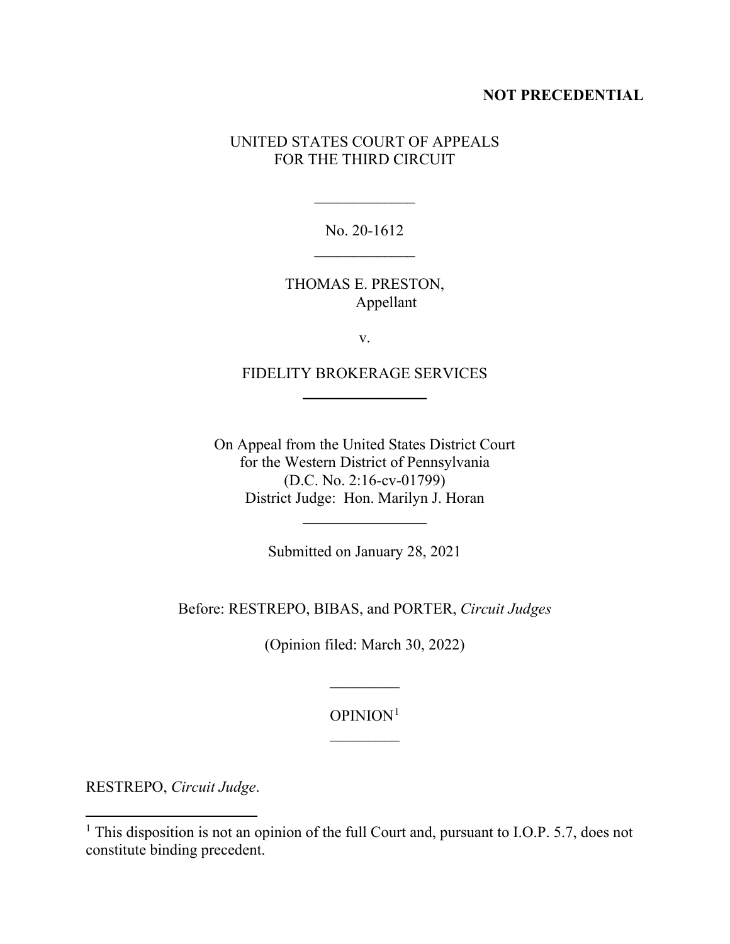## **NOT PRECEDENTIAL**

# UNITED STATES COURT OF APPEALS FOR THE THIRD CIRCUIT

No. 20-1612  $\mathcal{L}_\text{max}$ 

 $\overline{\phantom{a}}$ 

THOMAS E. PRESTON, Appellant

v.

FIDELITY BROKERAGE SERVICES  $\overline{\phantom{a}}$  , where  $\overline{\phantom{a}}$ 

On Appeal from the United States District Court for the Western District of Pennsylvania (D.C. No. 2:16-cv-01799) District Judge: Hon. Marilyn J. Horan

Submitted on January 28, 2021

 $\overline{\phantom{a}}$  , where  $\overline{\phantom{a}}$ 

Before: RESTREPO, BIBAS, and PORTER, *Circuit Judges*

(Opinion filed: March 30, 2022)

OPINION[1](#page-1-0)  $\overline{\phantom{a}}$ 

 $\frac{1}{2}$ 

RESTREPO, *Circuit Judge*.

<span id="page-1-0"></span><sup>&</sup>lt;sup>1</sup> This disposition is not an opinion of the full Court and, pursuant to I.O.P. 5.7, does not constitute binding precedent.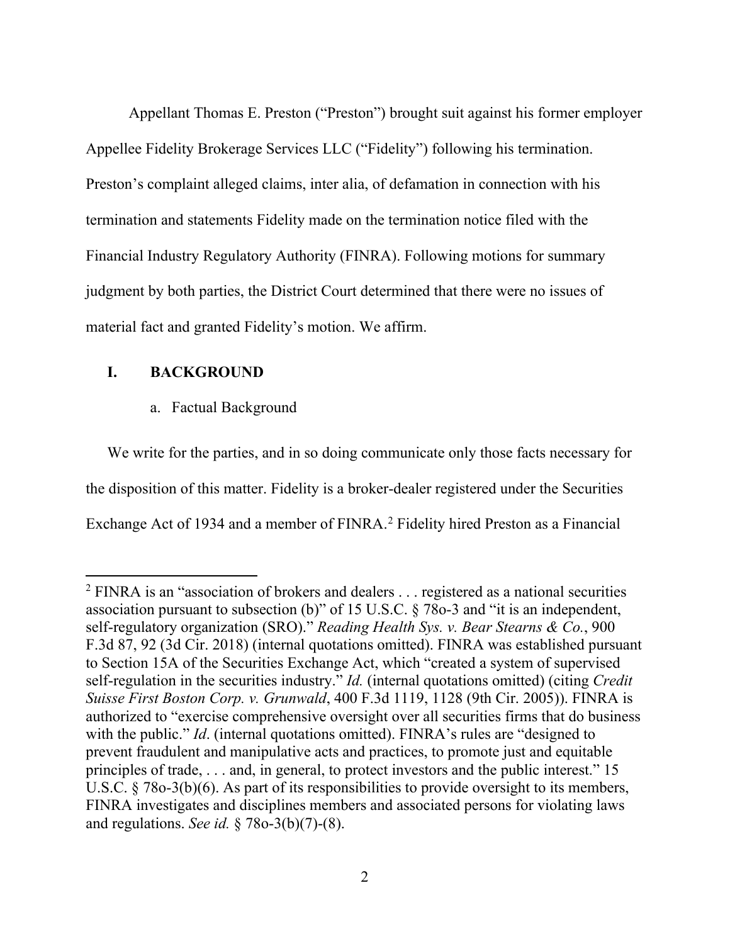Appellant Thomas E. Preston ("Preston") brought suit against his former employer Appellee Fidelity Brokerage Services LLC ("Fidelity") following his termination. Preston's complaint alleged claims, inter alia, of defamation in connection with his termination and statements Fidelity made on the termination notice filed with the Financial Industry Regulatory Authority (FINRA). Following motions for summary judgment by both parties, the District Court determined that there were no issues of material fact and granted Fidelity's motion. We affirm.

# **I. BACKGROUND**

## a. Factual Background

We write for the parties, and in so doing communicate only those facts necessary for the disposition of this matter. Fidelity is a broker-dealer registered under the Securities Exchange Act of 1934 and a member of FINRA. [2](#page-2-0) Fidelity hired Preston as a Financial

<span id="page-2-0"></span><sup>&</sup>lt;sup>2</sup> FINRA is an "association of brokers and dealers . . . registered as a national securities association pursuant to subsection (b)" of 15 U.S.C. § 78o-3 and "it is an independent, self-regulatory organization (SRO)." *Reading Health Sys. v. Bear Stearns & Co.*, 900 F.3d 87, 92 (3d Cir. 2018) (internal quotations omitted). FINRA was established pursuant to Section 15A of the Securities Exchange Act, which "created a system of supervised self-regulation in the securities industry." *Id.* (internal quotations omitted) (citing *Credit Suisse First Boston Corp. v. Grunwald*, 400 F.3d 1119, 1128 (9th Cir. 2005)). FINRA is authorized to "exercise comprehensive oversight over all securities firms that do business with the public." *Id.* (internal quotations omitted). FINRA's rules are "designed to prevent fraudulent and manipulative acts and practices, to promote just and equitable principles of trade, . . . and, in general, to protect investors and the public interest." 15 U.S.C. § 78o-3(b)(6). As part of its responsibilities to provide oversight to its members, FINRA investigates and disciplines members and associated persons for violating laws and regulations. *See id.* § 78o-3(b)(7)-(8).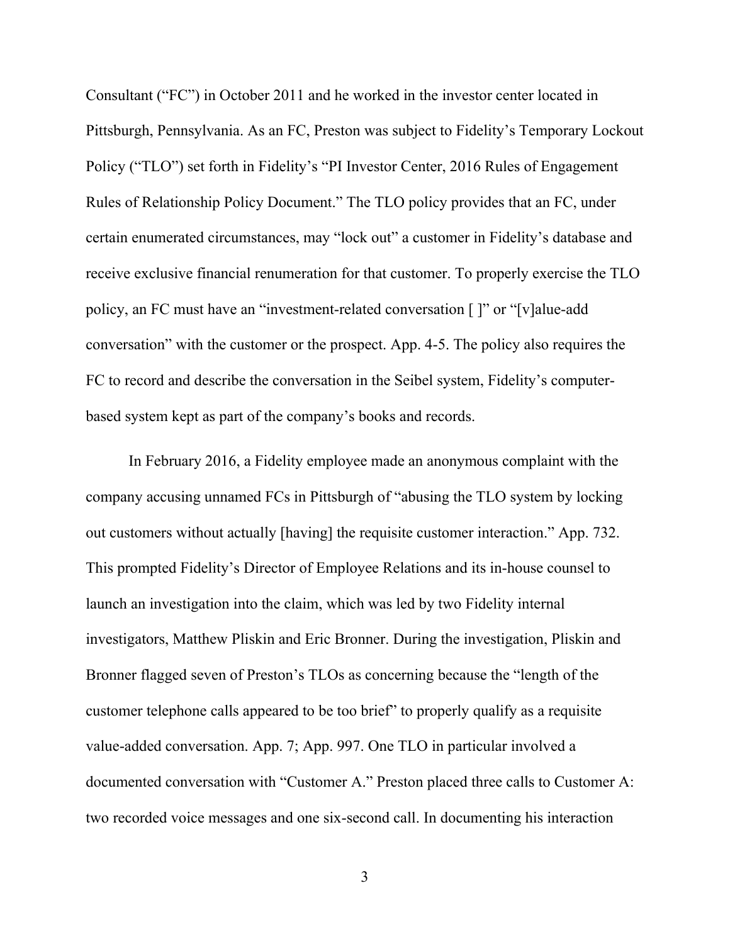Consultant ("FC") in October 2011 and he worked in the investor center located in Pittsburgh, Pennsylvania. As an FC, Preston was subject to Fidelity's Temporary Lockout Policy ("TLO") set forth in Fidelity's "PI Investor Center, 2016 Rules of Engagement Rules of Relationship Policy Document." The TLO policy provides that an FC, under certain enumerated circumstances, may "lock out" a customer in Fidelity's database and receive exclusive financial renumeration for that customer. To properly exercise the TLO policy, an FC must have an "investment-related conversation [ ]" or "[v]alue-add conversation" with the customer or the prospect. App. 4-5. The policy also requires the FC to record and describe the conversation in the Seibel system, Fidelity's computerbased system kept as part of the company's books and records.

In February 2016, a Fidelity employee made an anonymous complaint with the company accusing unnamed FCs in Pittsburgh of "abusing the TLO system by locking out customers without actually [having] the requisite customer interaction." App. 732. This prompted Fidelity's Director of Employee Relations and its in-house counsel to launch an investigation into the claim, which was led by two Fidelity internal investigators, Matthew Pliskin and Eric Bronner. During the investigation, Pliskin and Bronner flagged seven of Preston's TLOs as concerning because the "length of the customer telephone calls appeared to be too brief" to properly qualify as a requisite value-added conversation. App. 7; App. 997. One TLO in particular involved a documented conversation with "Customer A." Preston placed three calls to Customer A: two recorded voice messages and one six-second call. In documenting his interaction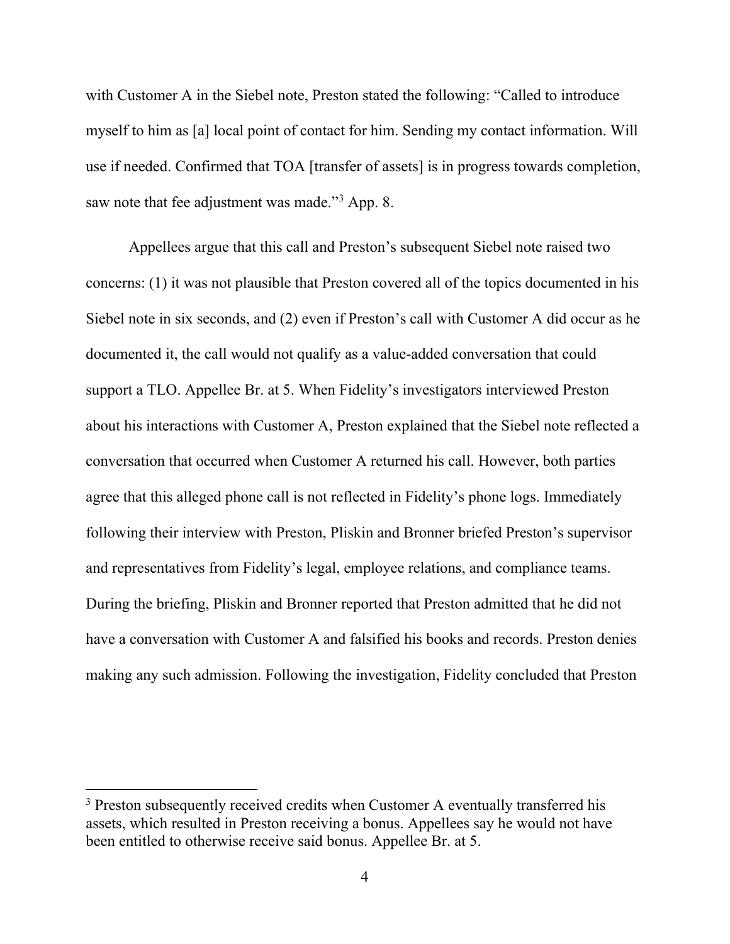with Customer A in the Siebel note, Preston stated the following: "Called to introduce myself to him as [a] local point of contact for him. Sending my contact information. Will use if needed. Confirmed that TOA [transfer of assets] is in progress towards completion, saw note that fee adjustment was made."<sup>[3](#page-4-0)</sup> App. 8.

Appellees argue that this call and Preston's subsequent Siebel note raised two concerns: (1) it was not plausible that Preston covered all of the topics documented in his Siebel note in six seconds, and (2) even if Preston's call with Customer A did occur as he documented it, the call would not qualify as a value-added conversation that could support a TLO. Appellee Br. at 5. When Fidelity's investigators interviewed Preston about his interactions with Customer A, Preston explained that the Siebel note reflected a conversation that occurred when Customer A returned his call. However, both parties agree that this alleged phone call is not reflected in Fidelity's phone logs. Immediately following their interview with Preston, Pliskin and Bronner briefed Preston's supervisor and representatives from Fidelity's legal, employee relations, and compliance teams. During the briefing, Pliskin and Bronner reported that Preston admitted that he did not have a conversation with Customer A and falsified his books and records. Preston denies making any such admission. Following the investigation, Fidelity concluded that Preston

<span id="page-4-0"></span><sup>&</sup>lt;sup>3</sup> Preston subsequently received credits when Customer A eventually transferred his assets, which resulted in Preston receiving a bonus. Appellees say he would not have been entitled to otherwise receive said bonus. Appellee Br. at 5.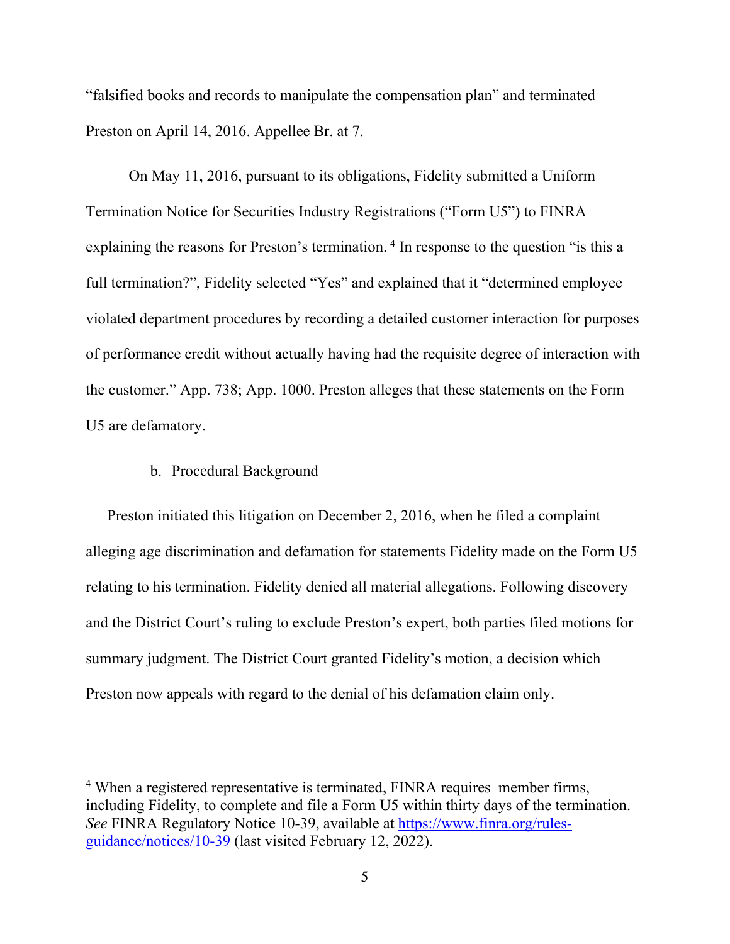"falsified books and records to manipulate the compensation plan" and terminated Preston on April 14, 2016. Appellee Br. at 7.

On May 11, 2016, pursuant to its obligations, Fidelity submitted a Uniform Termination Notice for Securities Industry Registrations ("Form U5") to FINRA explaining the reasons for Preston's termination.<sup>[4](#page-5-0)</sup> In response to the question "is this a full termination?", Fidelity selected "Yes" and explained that it "determined employee violated department procedures by recording a detailed customer interaction for purposes of performance credit without actually having had the requisite degree of interaction with the customer." App. 738; App. 1000. Preston alleges that these statements on the Form U5 are defamatory.

#### b. Procedural Background

Preston initiated this litigation on December 2, 2016, when he filed a complaint alleging age discrimination and defamation for statements Fidelity made on the Form U5 relating to his termination. Fidelity denied all material allegations. Following discovery and the District Court's ruling to exclude Preston's expert, both parties filed motions for summary judgment. The District Court granted Fidelity's motion, a decision which Preston now appeals with regard to the denial of his defamation claim only.

<span id="page-5-0"></span><sup>4</sup> When a registered representative is terminated, FINRA requires member firms, including Fidelity, to complete and file a Form U5 within thirty days of the termination. *See* FINRA Regulatory Notice 10-39, available at [https://www.finra.org/rules](https://www.finra.org/rules-guidance/notices/10-39)[guidance/notices/10-39](https://www.finra.org/rules-guidance/notices/10-39) (last visited February 12, 2022).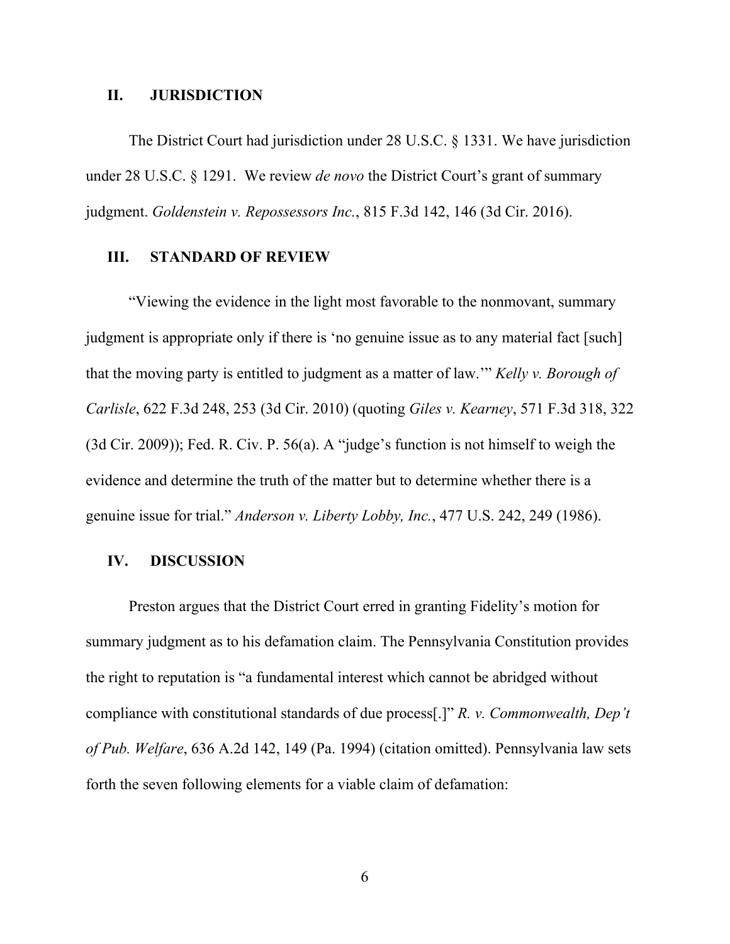#### **II. JURISDICTION**

The District Court had jurisdiction under 28 U.S.C. § 1331. We have jurisdiction under 28 U.S.C. § 1291. We review *de novo* the District Court's grant of summary judgment. *Goldenstein v. Repossessors Inc.*, 815 F.3d 142, 146 (3d Cir. 2016).

## **III. STANDARD OF REVIEW**

"Viewing the evidence in the light most favorable to the nonmovant, summary judgment is appropriate only if there is 'no genuine issue as to any material fact [such] that the moving party is entitled to judgment as a matter of law.'" *Kelly v. Borough of Carlisle*, 622 F.3d 248, 253 (3d Cir. 2010) (quoting *Giles v. Kearney*, 571 F.3d 318, 322 (3d Cir. 2009)); Fed. R. Civ. P. 56(a). A "judge's function is not himself to weigh the evidence and determine the truth of the matter but to determine whether there is a genuine issue for trial." *Anderson v. Liberty Lobby, Inc.*, 477 U.S. 242, 249 (1986).

#### **IV. DISCUSSION**

Preston argues that the District Court erred in granting Fidelity's motion for summary judgment as to his defamation claim. The Pennsylvania Constitution provides the right to reputation is "a fundamental interest which cannot be abridged without compliance with constitutional standards of due process[.]" *R. v. Commonwealth, Dep't of Pub. Welfare*, 636 A.2d 142, 149 (Pa. 1994) (citation omitted). Pennsylvania law sets forth the seven following elements for a viable claim of defamation:

6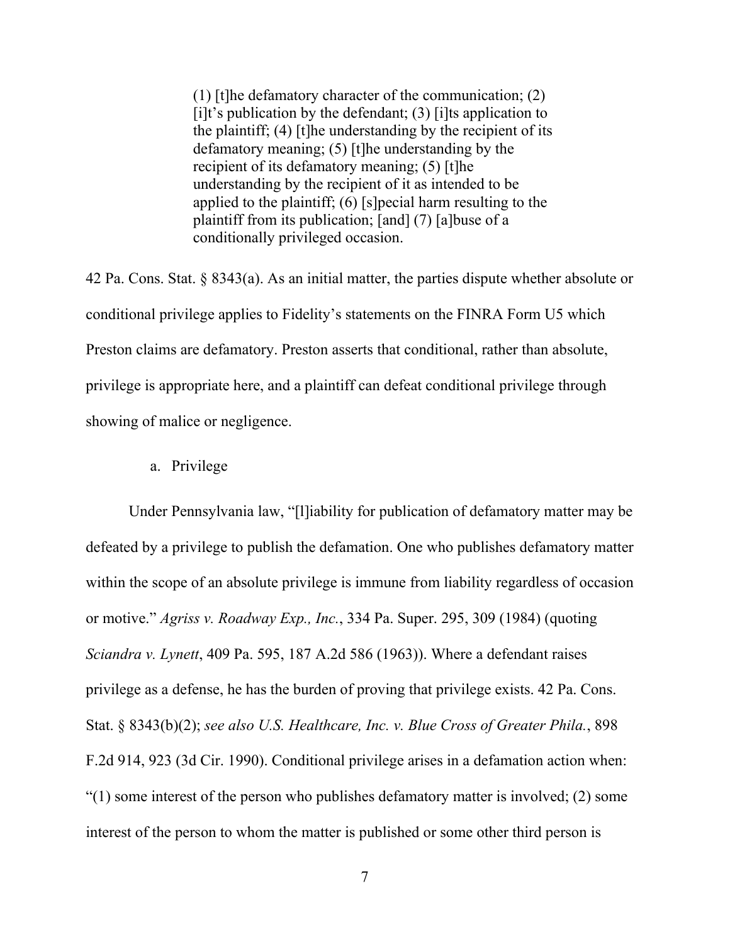(1) [t]he defamatory character of the communication; (2)  $[i]$ t's publication by the defendant; (3)  $[i]$ ts application to the plaintiff;  $(4)$  [t]he understanding by the recipient of its defamatory meaning; (5) [t]he understanding by the recipient of its defamatory meaning; (5) [t]he understanding by the recipient of it as intended to be applied to the plaintiff; (6) [s]pecial harm resulting to the plaintiff from its publication; [and] (7) [a]buse of a conditionally privileged occasion.

42 Pa. Cons. Stat. § 8343(a). As an initial matter, the parties dispute whether absolute or conditional privilege applies to Fidelity's statements on the FINRA Form U5 which Preston claims are defamatory. Preston asserts that conditional, rather than absolute, privilege is appropriate here, and a plaintiff can defeat conditional privilege through showing of malice or negligence.

a. Privilege

Under Pennsylvania law, "[l]iability for publication of defamatory matter may be defeated by a privilege to publish the defamation. One who publishes defamatory matter within the scope of an absolute privilege is immune from liability regardless of occasion or motive." *Agriss v. Roadway Exp., Inc.*, 334 Pa. Super. 295, 309 (1984) (quoting *Sciandra v. Lynett*, 409 Pa. 595, 187 A.2d 586 (1963)). Where a defendant raises privilege as a defense, he has the burden of proving that privilege exists. 42 Pa. Cons. Stat. § 8343(b)(2); *see also U.S. Healthcare, Inc. v. Blue Cross of Greater Phila.*, 898 F.2d 914, 923 (3d Cir. 1990). Conditional privilege arises in a defamation action when: "(1) some interest of the person who publishes defamatory matter is involved; (2) some interest of the person to whom the matter is published or some other third person is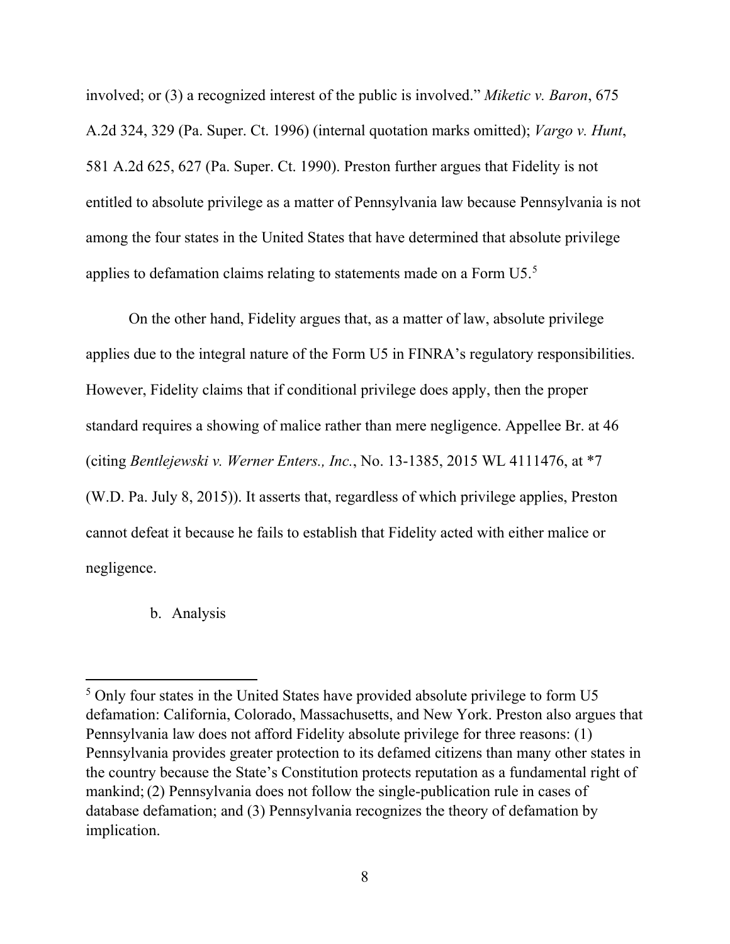involved; or (3) a recognized interest of the public is involved." *Miketic v. Baron*, 675 A.2d 324, 329 (Pa. Super. Ct. 1996) (internal quotation marks omitted); *Vargo v. Hunt*, 581 A.2d 625, 627 (Pa. Super. Ct. 1990). Preston further argues that Fidelity is not entitled to absolute privilege as a matter of Pennsylvania law because Pennsylvania is not among the four states in the United States that have determined that absolute privilege applies to defamation claims relating to statements made on a Form  $U5$  $U5$ .<sup>5</sup>

On the other hand, Fidelity argues that, as a matter of law, absolute privilege applies due to the integral nature of the Form U5 in FINRA's regulatory responsibilities. However, Fidelity claims that if conditional privilege does apply, then the proper standard requires a showing of malice rather than mere negligence. Appellee Br. at 46 (citing *Bentlejewski v. Werner Enters., Inc.*, No. 13-1385, 2015 WL 4111476, at \*7 (W.D. Pa. July 8, 2015)). It asserts that, regardless of which privilege applies, Preston cannot defeat it because he fails to establish that Fidelity acted with either malice or negligence.

### b. Analysis

<span id="page-8-0"></span><sup>5</sup> Only four states in the United States have provided absolute privilege to form U5 defamation: California, Colorado, Massachusetts, and New York. Preston also argues that Pennsylvania law does not afford Fidelity absolute privilege for three reasons: (1) Pennsylvania provides greater protection to its defamed citizens than many other states in the country because the State's Constitution protects reputation as a fundamental right of mankind;(2) Pennsylvania does not follow the single-publication rule in cases of database defamation; and (3) Pennsylvania recognizes the theory of defamation by implication.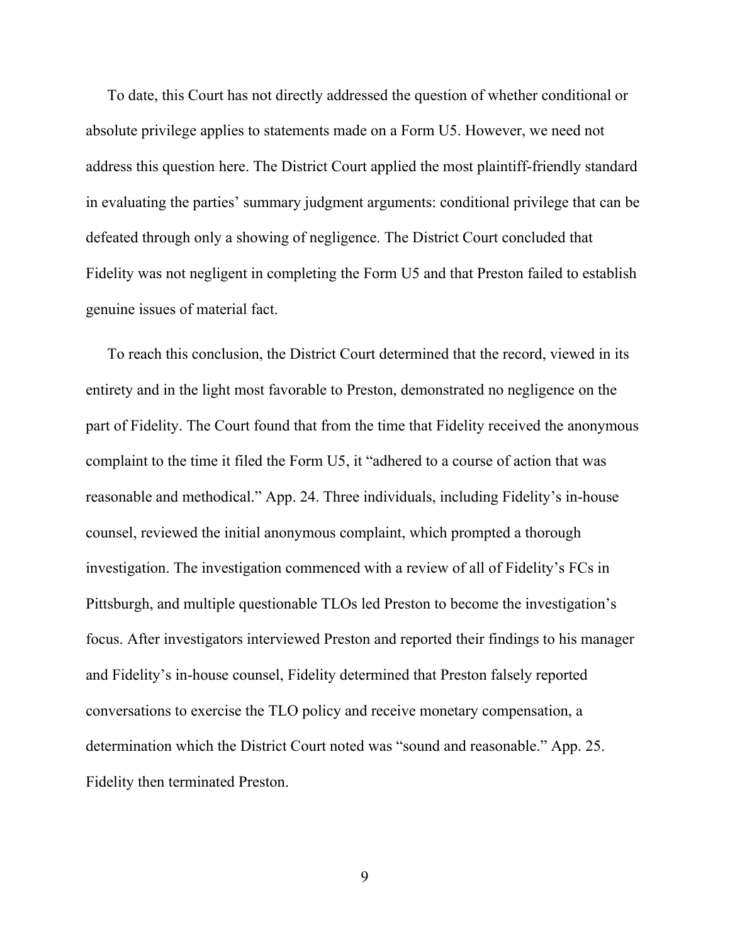To date, this Court has not directly addressed the question of whether conditional or absolute privilege applies to statements made on a Form U5. However, we need not address this question here. The District Court applied the most plaintiff-friendly standard in evaluating the parties' summary judgment arguments: conditional privilege that can be defeated through only a showing of negligence. The District Court concluded that Fidelity was not negligent in completing the Form U5 and that Preston failed to establish genuine issues of material fact.

To reach this conclusion, the District Court determined that the record, viewed in its entirety and in the light most favorable to Preston, demonstrated no negligence on the part of Fidelity. The Court found that from the time that Fidelity received the anonymous complaint to the time it filed the Form U5, it "adhered to a course of action that was reasonable and methodical." App. 24. Three individuals, including Fidelity's in-house counsel, reviewed the initial anonymous complaint, which prompted a thorough investigation. The investigation commenced with a review of all of Fidelity's FCs in Pittsburgh, and multiple questionable TLOs led Preston to become the investigation's focus. After investigators interviewed Preston and reported their findings to his manager and Fidelity's in-house counsel, Fidelity determined that Preston falsely reported conversations to exercise the TLO policy and receive monetary compensation, a determination which the District Court noted was "sound and reasonable." App. 25. Fidelity then terminated Preston.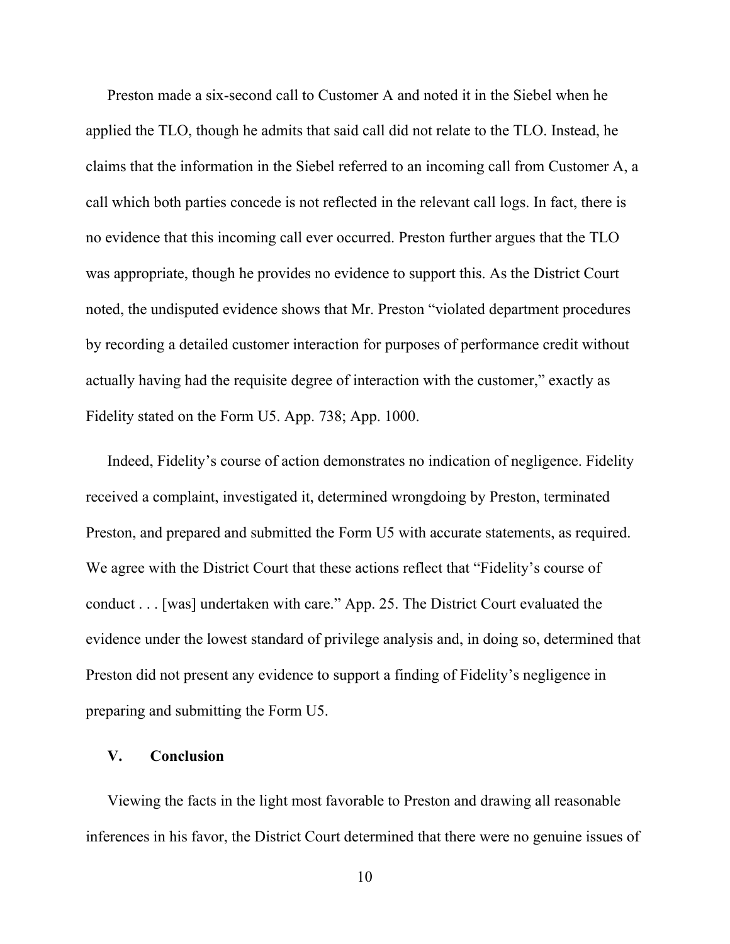Preston made a six-second call to Customer A and noted it in the Siebel when he applied the TLO, though he admits that said call did not relate to the TLO. Instead, he claims that the information in the Siebel referred to an incoming call from Customer A, a call which both parties concede is not reflected in the relevant call logs. In fact, there is no evidence that this incoming call ever occurred. Preston further argues that the TLO was appropriate, though he provides no evidence to support this. As the District Court noted, the undisputed evidence shows that Mr. Preston "violated department procedures by recording a detailed customer interaction for purposes of performance credit without actually having had the requisite degree of interaction with the customer," exactly as Fidelity stated on the Form U5. App. 738; App. 1000.

Indeed, Fidelity's course of action demonstrates no indication of negligence. Fidelity received a complaint, investigated it, determined wrongdoing by Preston, terminated Preston, and prepared and submitted the Form U5 with accurate statements, as required. We agree with the District Court that these actions reflect that "Fidelity's course of conduct . . . [was] undertaken with care." App. 25. The District Court evaluated the evidence under the lowest standard of privilege analysis and, in doing so, determined that Preston did not present any evidence to support a finding of Fidelity's negligence in preparing and submitting the Form U5.

# **V. Conclusion**

Viewing the facts in the light most favorable to Preston and drawing all reasonable inferences in his favor, the District Court determined that there were no genuine issues of

10